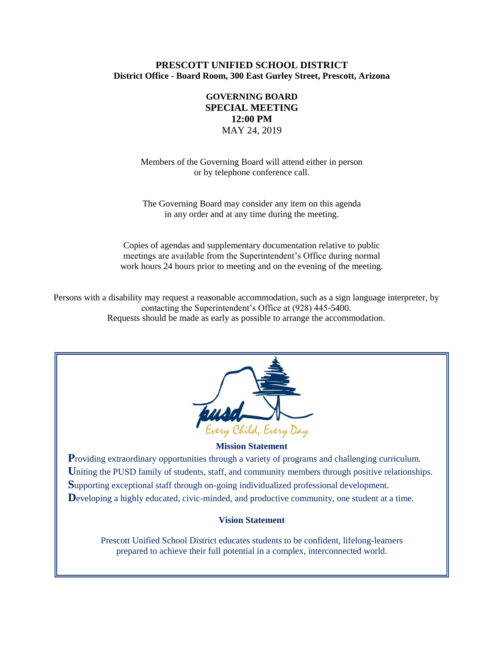# **PRESCOTT UNIFIED SCHOOL DISTRICT District Office - Board Room, 300 East Gurley Street, Prescott, Arizona**

# **GOVERNING BOARD SPECIAL MEETING 12:00 PM** MAY 24, 2019

Members of the Governing Board will attend either in person or by telephone conference call.

The Governing Board may consider any item on this agenda in any order and at any time during the meeting.

Copies of agendas and supplementary documentation relative to public meetings are available from the Superintendent's Office during normal work hours 24 hours prior to meeting and on the evening of the meeting.

Persons with a disability may request a reasonable accommodation, such as a sign language interpreter, by contacting the Superintendent's Office at (928) 445-5400. Requests should be made as early as possible to arrange the accommodation.



#### **Mission Statement**

**Providing extraordinary opportunities through a variety of programs and challenging curriculum.** Uniting the PUSD family of students, staff, and community members through positive relationships. **S**upporting exceptional staff through on-going individualized professional development. Developing a highly educated, civic-minded, and productive community, one student at a time.

#### **Vision Statement**

Prescott Unified School District educates students to be confident, lifelong-learners prepared to achieve their full potential in a complex, interconnected world.